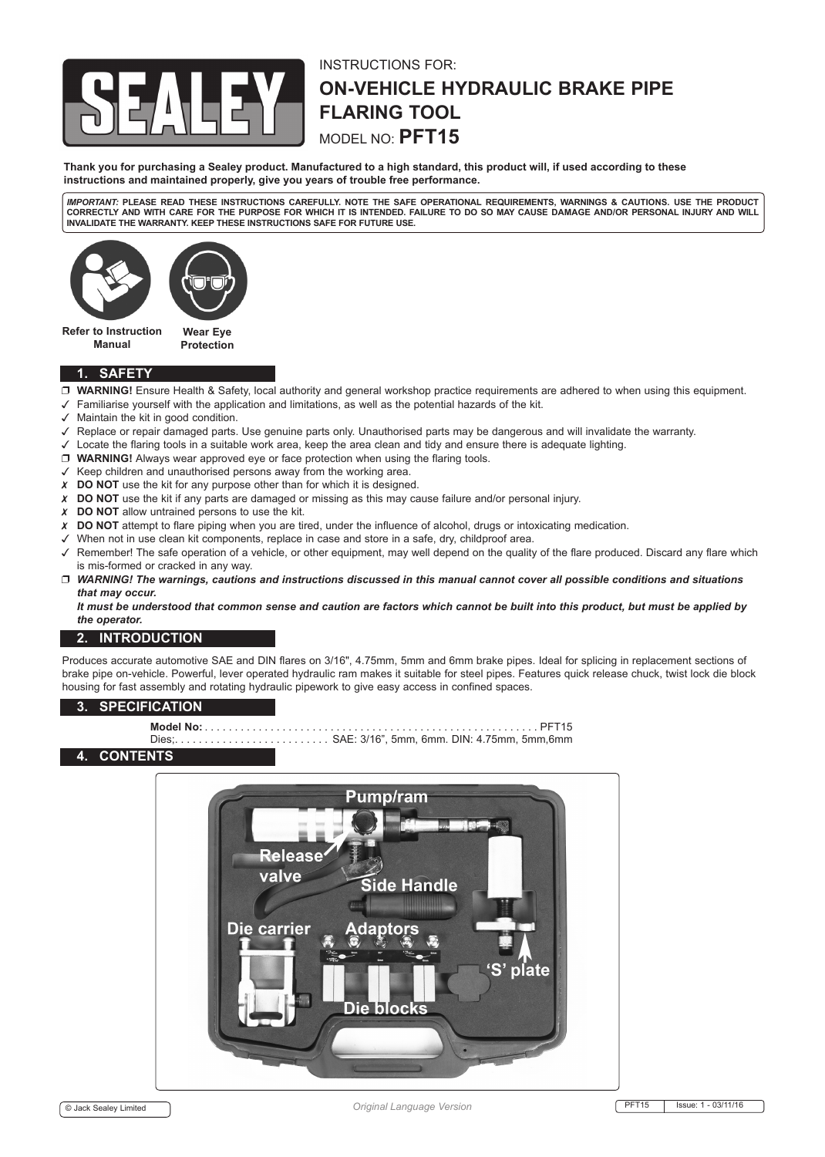

# INSTRUCTIONS FOR: **ON-VEHICLE HYDRAULIC BRAKE PIPE FLARING TOOL** MODEL NO: **PFT15**

**Thank you for purchasing a Sealey product. Manufactured to a high standard, this product will, if used according to these instructions and maintained properly, give you years of trouble free performance.**

*IMPORTANT:* **PLEASE READ THESE INSTRUCTIONS CAREFULLY. NOTE THE SAFE OPERATIONAL REQUIREMENTS, WARNINGS & CAUTIONS. USE THE PRODUCT CORRECTLY AND WITH CARE FOR THE PURPOSE FOR WHICH IT IS INTENDED. FAILURE TO DO SO MAY CAUSE DAMAGE AND/OR PERSONAL INJURY AND WILL INVALIDATE THE WARRANTY. KEEP THESE INSTRUCTIONS SAFE FOR FUTURE USE.**



**Refer to Instruction Manual**

## **1. SAFETY**

- **WARNING!** Ensure Health & Safety, local authority and general workshop practice requirements are adhered to when using this equipment.
- $\checkmark$  Familiarise yourself with the application and limitations, as well as the potential hazards of the kit.
- $\checkmark$  Maintain the kit in good condition.
- Replace or repair damaged parts. Use genuine parts only. Unauthorised parts may be dangerous and will invalidate the warranty.
- Locate the flaring tools in a suitable work area, keep the area clean and tidy and ensure there is adequate lighting.
- **WARNING!** Always wear approved eye or face protection when using the flaring tools.
- $\checkmark$  Keep children and unauthorised persons away from the working area.

**Protection**

- **X** DO NOT use the kit for any purpose other than for which it is designed.
- **DO NOT** use the kit if any parts are damaged or missing as this may cause failure and/or personal injury.
- **DO NOT** allow untrained persons to use the kit.
- **DO NOT** attempt to flare piping when you are tired, under the influence of alcohol, drugs or intoxicating medication.
- When not in use clean kit components, replace in case and store in a safe, dry, childproof area.
- Remember! The safe operation of a vehicle, or other equipment, may well depend on the quality of the flare produced. Discard any flare which is mis-formed or cracked in any way.
- *WARNING! The warnings, cautions and instructions discussed in this manual cannot cover all possible conditions and situations that may occur.*

*It must be understood that common sense and caution are factors which cannot be built into this product, but must be applied by the operator.*

### **2. INTRODUCTION**

Produces accurate automotive SAE and DIN flares on 3/16", 4.75mm, 5mm and 6mm brake pipes. Ideal for splicing in replacement sections of brake pipe on-vehicle. Powerful, lever operated hydraulic ram makes it suitable for steel pipes. Features quick release chuck, twist lock die block housing for fast assembly and rotating hydraulic pipework to give easy access in confined spaces.

### **3. SPECIFICATION**

- 
- **Model No:** . . PFT15 Dies; . . SAE: 3/16", 5mm, 6mm. DIN: 4.75mm, 5mm,6mm

### **4. CONTENTS**

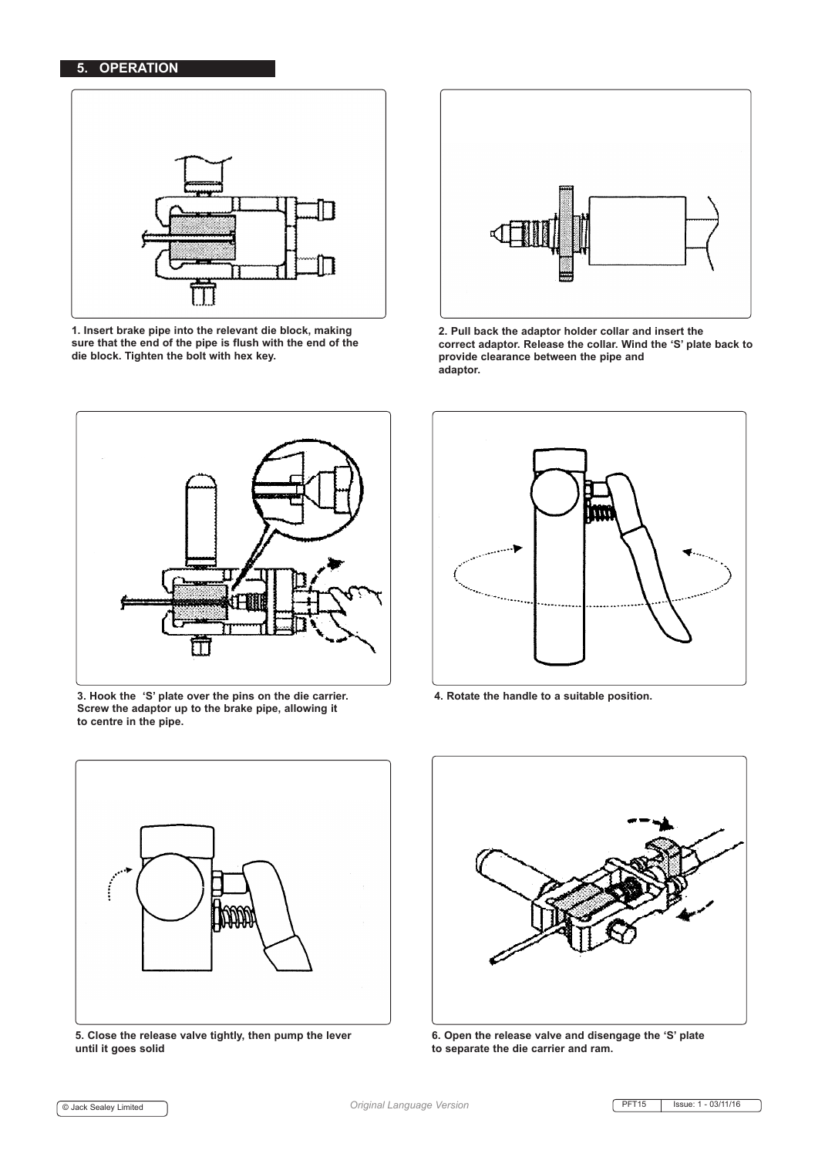

**1. Insert brake pipe into the relevant die block, making sure that the end of the pipe is flush with the end of the die block. Tighten the bolt with hex key.**



**2. Pull back the adaptor holder collar and insert the correct adaptor. Release the collar. Wind the 'S' plate back to provide clearance between the pipe and adaptor.** 



**3. Hook the 'S' plate over the pins on the die carrier. Screw the adaptor up to the brake pipe, allowing it to centre in the pipe.**



**4. Rotate the handle to a suitable position.**



**5. Close the release valve tightly, then pump the lever until it goes solid**



**6. Open the release valve and disengage the 'S' plate to separate the die carrier and ram.**